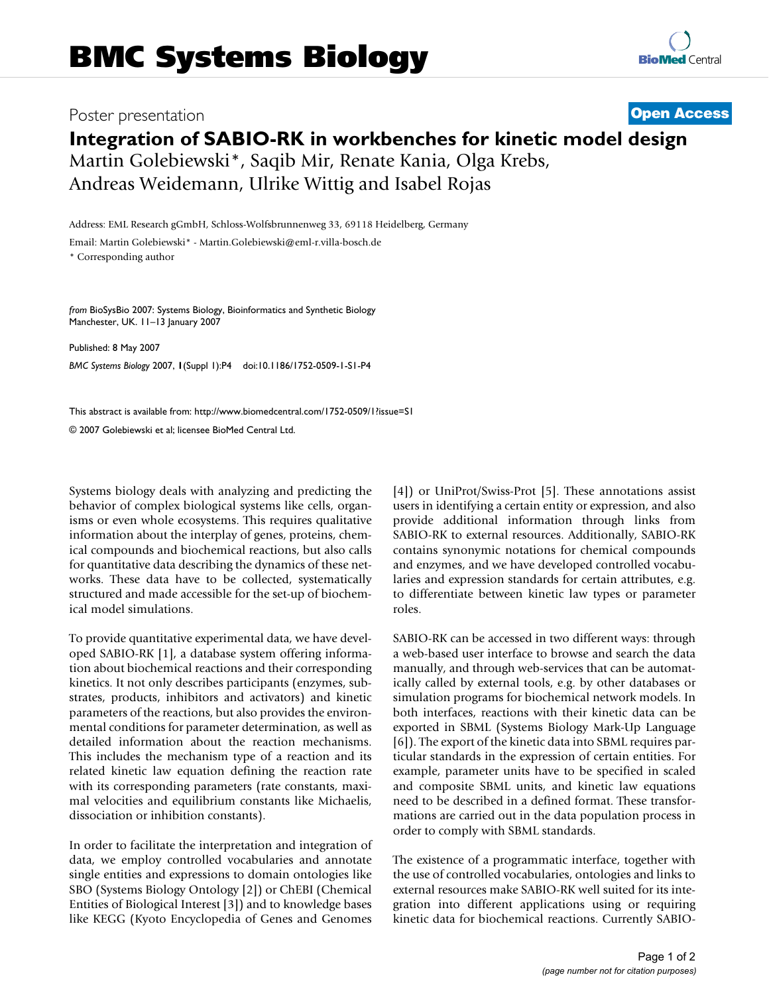## Poster presentation **Contract Contract Contract Contract Contract Contract Contract Contract Contract Contract Contract Contract Contract Contract Contract Contract Contract Contract Contract Contract Contract Contract Con**

## **Integration of SABIO-RK in workbenches for kinetic model design** Martin Golebiewski\*, Saqib Mir, Renate Kania, Olga Krebs,

Andreas Weidemann, Ulrike Wittig and Isabel Rojas

Address: EML Research gGmbH, Schloss-Wolfsbrunnenweg 33, 69118 Heidelberg, Germany

Email: Martin Golebiewski\* - Martin.Golebiewski@eml-r.villa-bosch.de

\* Corresponding author

*from* BioSysBio 2007: Systems Biology, Bioinformatics and Synthetic Biology Manchester, UK. 11–13 January 2007

Published: 8 May 2007 *BMC Systems Biology* 2007, **1**(Suppl 1):P4 doi:10.1186/1752-0509-1-S1-P4

[This abstract is available from: http://www.biomedcentral.com/1752-0509/1?issue=S1](http://www.biomedcentral.com/1752-0509/1?issue=S1) © 2007 Golebiewski et al; licensee BioMed Central Ltd.

Systems biology deals with analyzing and predicting the behavior of complex biological systems like cells, organisms or even whole ecosystems. This requires qualitative information about the interplay of genes, proteins, chemical compounds and biochemical reactions, but also calls for quantitative data describing the dynamics of these networks. These data have to be collected, systematically structured and made accessible for the set-up of biochemical model simulations.

To provide quantitative experimental data, we have developed SABIO-RK [1], a database system offering information about biochemical reactions and their corresponding kinetics. It not only describes participants (enzymes, substrates, products, inhibitors and activators) and kinetic parameters of the reactions, but also provides the environmental conditions for parameter determination, as well as detailed information about the reaction mechanisms. This includes the mechanism type of a reaction and its related kinetic law equation defining the reaction rate with its corresponding parameters (rate constants, maximal velocities and equilibrium constants like Michaelis, dissociation or inhibition constants).

In order to facilitate the interpretation and integration of data, we employ controlled vocabularies and annotate single entities and expressions to domain ontologies like SBO (Systems Biology Ontology [2]) or ChEBI (Chemical Entities of Biological Interest [3]) and to knowledge bases like KEGG (Kyoto Encyclopedia of Genes and Genomes [4]) or UniProt/Swiss-Prot [5]. These annotations assist users in identifying a certain entity or expression, and also provide additional information through links from SABIO-RK to external resources. Additionally, SABIO-RK contains synonymic notations for chemical compounds and enzymes, and we have developed controlled vocabularies and expression standards for certain attributes, e.g. to differentiate between kinetic law types or parameter roles.

SABIO-RK can be accessed in two different ways: through a web-based user interface to browse and search the data manually, and through web-services that can be automatically called by external tools, e.g. by other databases or simulation programs for biochemical network models. In both interfaces, reactions with their kinetic data can be exported in SBML (Systems Biology Mark-Up Language [6]). The export of the kinetic data into SBML requires particular standards in the expression of certain entities. For example, parameter units have to be specified in scaled and composite SBML units, and kinetic law equations need to be described in a defined format. These transformations are carried out in the data population process in order to comply with SBML standards.

The existence of a programmatic interface, together with the use of controlled vocabularies, ontologies and links to external resources make SABIO-RK well suited for its integration into different applications using or requiring kinetic data for biochemical reactions. Currently SABIO-